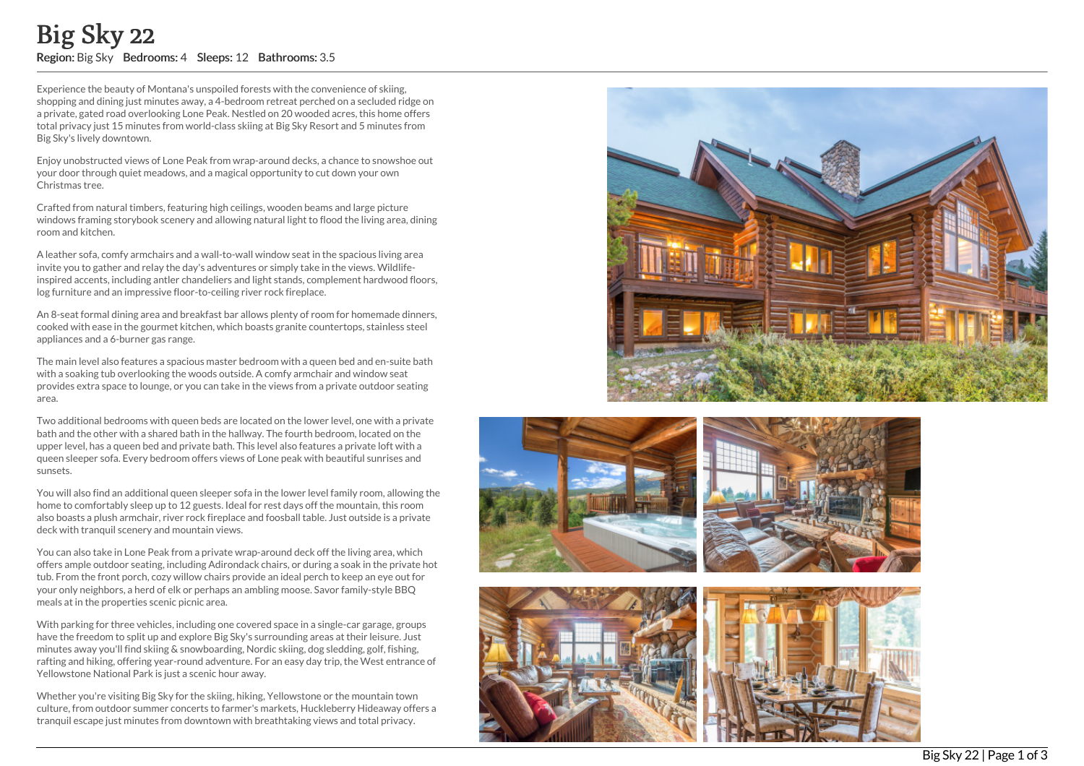Experience the beauty of Montana's unspoiled forests with the convenience of skiing, shopping and dining just minutes away, a 4-bedroom retreat perched on a secluded rid g e o n a private, gated road overlooking Lone Peak. Nestled on 20 wooded acres, this home offers total privacy just 15 minutes from world-class skiing at Big Sky Resort and 5 minutes from Big Sky's lively downtown. **EQUIS SKY 222**<br> **Region: Big Sky Bedrooms: 4 Sleeps: 12 Bathrooms: 3.5**<br>
Experience the beauty of Montana's unspolled forests with the convenience of skiing.<br>
Experience the beauty of Montana's unspolled forests with the

Enjoy unobstructed views of Lone Peak from wrap-around decks, a chance to snowshoe out your door through quiet meadows, and a magical opportunity to cut down your own Christmas tree.

Crafted from natural timbers, featuring high ceilings, wooden beams and large picture windows framing storybook scenery and allowing natural light to flood the living area, dining room and kitchen.

A leather sofa, comfy armchairs and a wall-to-wall window seat in the spacious living area invite you to gather and relay the day's adventures or simply take in the views. Wildlife inspired accents, including antler chandeliers and light stands, complement hardwood floors, log furniture and an impressive floor-to-ceiling river rock fireplace.

An 8-seat formal dining area and breakfast bar allows plenty of room for homemade dinners, cooked with ease in the gourmet kitchen, which boasts granite countertops, stainless steel appliances and a 6-burner gas range.

The main level also features a spacious master bedroom with a queen bed and en-suite bath with a soaking tub overlooking the woods outside. A comfy armchair and window seat provides extra space to lounge, or you can take in the views from a private outdoor seating area.

Two additional bedrooms with queen beds are located on the lower level, one with a private bath and the other with a shared bath in the hallway. The fourth bedroom, located on the upper level, has a queen bed and private bath. This level also features a private loft with a queen sleeper sofa. Every bedroom offers views of Lone peak with beautiful sunrises and sunsets.

You will also find an additional queen sleeper sofa in the lower level family room, allowing the home to comfortably sleep up to 12 guests. Ideal for rest days off the mountain, this room also boasts a plush armchair, river rock fireplace and foosball table. Just outside is a private deck with tranquil scenery and mountain views.

You can also take in Lone Peak from a private wrap-around deck off the living area, which offers ample outdoor seating, including Adirondack chairs, or during a soak in the private hot tub. From the front porch, cozy willow chairs provide an ideal perch to keep an eye out for your only neighbors, a herd of elk or perhaps an ambling moose. Savor family-style BBQ meals at in the properties scenic picnic area.

With parking for three vehicles, including one covered space in a single-car garage, groups have the freedom to split up and explore Big Sky's surrounding areas at their leisure. Just minutes away you'll find skiing & snowboarding, Nordic skiing, dog sledding, golf, fishing, rafting and hiking, offering year-round adventure. For an easy day trip, the West entrance of Yellowstone National Park is just a scenic hour away.

Whether you're visiting Big Sky for the skiing, hiking, Yellowstone or the mountain town culture, from outdoor summer concerts to farmer's markets, Huckleberry Hideaway offers a









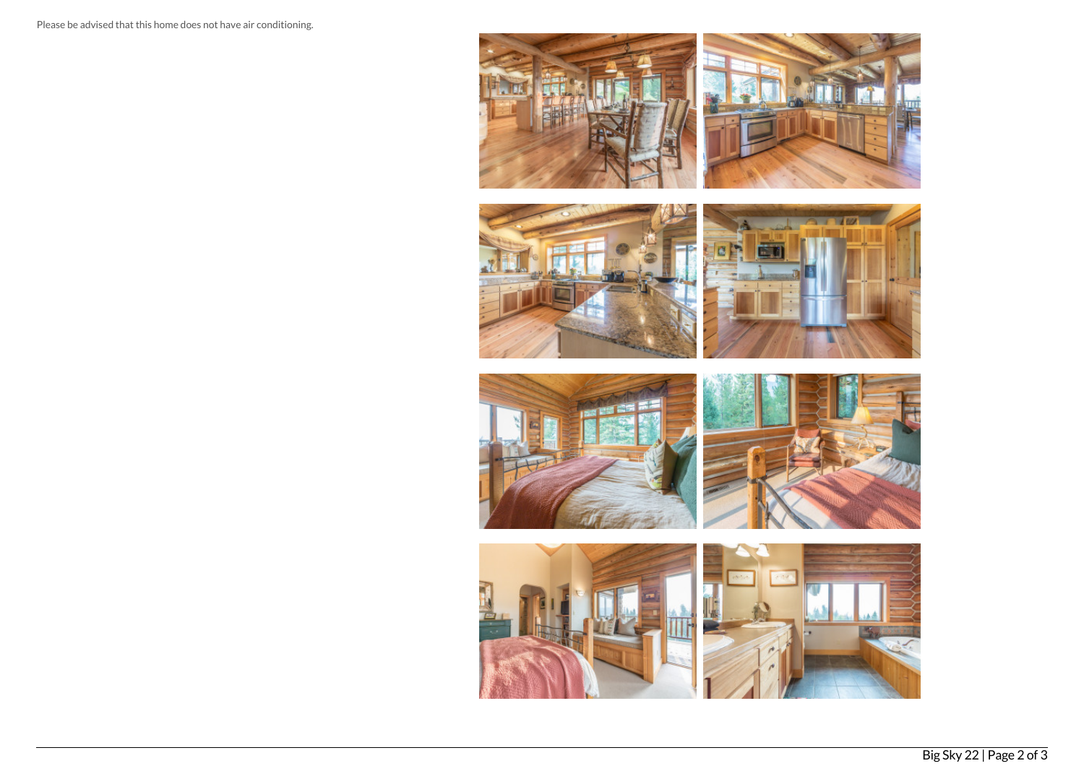